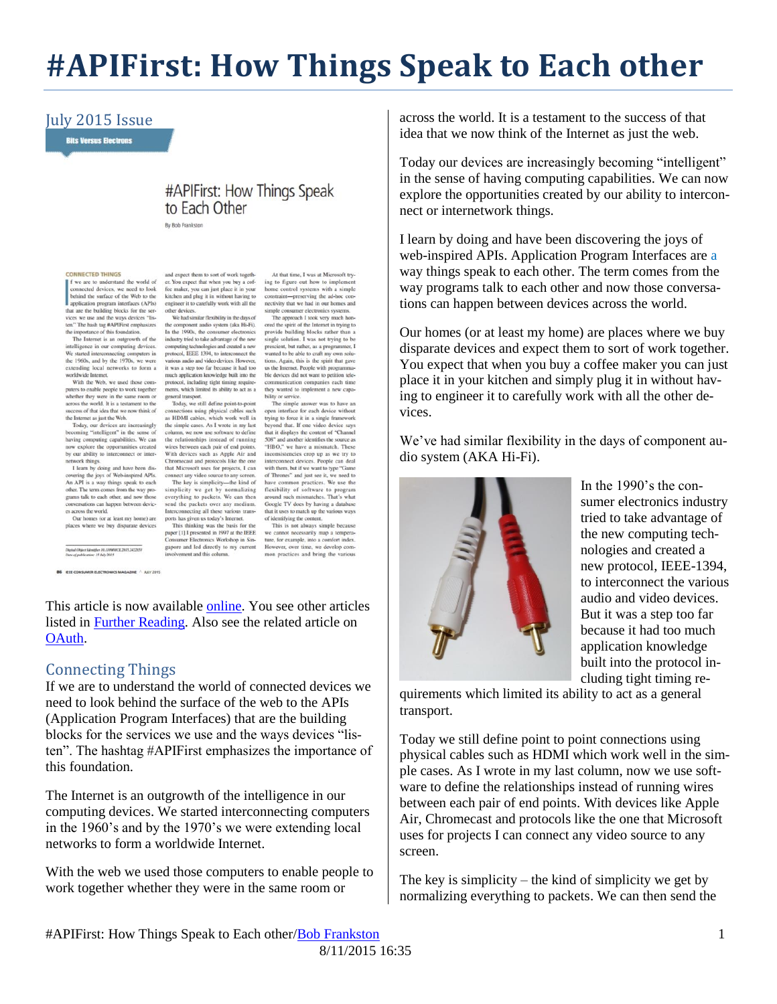# **#APIFirst: How Things Speak to Each other**

### July 2015 Issue

**Bits Versus Electrons** 

# #APIFirst: How Things Speak to Each Other

By Bob Frankston

other dev

general transport.

ad expect them to sort of work togeth

er. You expect that when you buy a coffee maker, you can just place it in your

kitchen and plug it in without having to

computing technologies and created a new

protocol, IEEE 1394, to interconnect the

ious audio and video devices. Hower

vanous manu vacou are because it had too much application knowledge built into the protocol, including tight timing requirements, which limited its ability to act as a

Today, we still define noint-to-point

coancions using physical cables such<br>as HDMI cables, which work well in<br>the simple cases. As I wrote in my last<br>column, we now use software to define

the relationships instead of running

With devices such as Apple Air and

wires between each pair of end points

engineer it to carefully work with all the

We had similar flexibility in the days of we nat similar nextently in the days of<br>the component audio system (aka Hi-Fi).<br>In the 1990s, the consumer electronics<br>industry tried to take advantage of the new

**CONNECTED THINGS**<br>
If we are to understand the world of<br>
connected devices, we need to look<br>
behind the surface of the Web to the behind the surface of the Web to the<br>application program interfaces (APIs)<br>that are the building blocks for the ser-<br>vices we use and the ways devices "lis-<br>ten." The hash tag #APIFirst emphasizes<br>the importance of this f

The Internet is an outgrowth of the intelligence in our computing devices. We started interconnecting computers in the 1960s, and by the 1970s, we will the 1900s, and by the 1970s, we were<br>extending local networks to form a<br>worldwide Internet.<br>With the Web, we used those com-

puters to enable people to work together<br>whether they were in the same room or<br>across the world. It is a testament to the access of that idea that we now think of the Int

ccess of that idea that we now think of<br>Internet as just the Web.<br>Today, our devices are increasingly<br>coming "intelligent" in the sense of having computing capabilities. We can now explore the opportunities created<br>by our ability to interconnect or inter-

by our ability to interconnect or inter-<br>network things.<br>1 learn by doing and have been dis-<br>covering the joys of Web-inspired APIs.<br>An API is a way things speak to each<br>other. The term comes from the way pro-<br>grams talk t conversations can happen between devices across the world.

our homes (or at least my home) are<br>places where we buy disparate devices

:<br>Digital Object Identifier 10.1109/MCE.2015.2422851<br>Date of publication: 15 July 2015

**86 EEE CONSUMER ELECTRONICS MAGAZINE ^ AUY 2015** 

With devices such as Apple Air and that Microsetar and protocols like the one that that Microseth uses for projects, 1 can connect any size the scenario of the scenario scenario scenario scenario scenario scenario scenari Consumer Electronics Workshop in Sin-<br>gapore and led directly to my current<br>involvement and this column. volvement and this column.

At that time, I was at Microsoft try ing to figure out how to implement<br>home control systems with a simple constraint-preserving the ad-hoc con nectivity that we had in our homes and simple consumer elect

simple consumer electronics systems.<br>The approach I took very much hon-<br>ored the spirit of the Internet in trying to<br>provide building blocks rather than a single solution. I was not trying to be prescient, but rather, as a programmer. I wanted to be able to craft my own soluwanted to be able to craft my own solutions. Again, this is the spirit that gave us the Internet. People with programma-<br>us the Internet. People with programma-<br>ble devices did not want to perition tele-<br>communication comp bility or service.

The simple answer was to have an open interface for each device without open interace for each device without<br>trying to force it in a single framework<br>beyond that. If one video device says<br>that it displays the content of "Channel<br>508" and another identifies the source as "HBO," we have a mismatch. These inconsistencies crop up as we try to interconnect devices. People can deal interconnect devices. People can deal<br>with them, but if we want to type "Game<br>of Thrones" and just see it, we need to<br>have common practices. We use the<br>flexibility of software to program<br>around such mismatches. That's what Google TV does by having a database

booge r v wors by narrung a canadate<br>that it uses to match up the various ways<br>of identifying the content.<br>This is not always simple because<br>we cannot necessarily map a temperature, for example, into a comfort index. However, over time, we develop com mon practices and bring the various

This article is now available **online**. You see other articles listed in [Further Reading.](http://rmf.vc/FurtherReading) Also see the related article on [OAuth.](http://www.windley.com/whitepapers/oauth_apis/)

### Connecting Things

If we are to understand the world of connected devices we need to look behind the surface of the web to the APIs (Application Program Interfaces) that are the building blocks for the services we use and the ways devices "listen". The hashtag #APIFirst emphasizes the importance of this foundation.

The Internet is an outgrowth of the intelligence in our computing devices. We started interconnecting computers in the 1960's and by the 1970's we were extending local networks to form a worldwide Internet.

With the web we used those computers to enable people to work together whether they were in the same room or

across the world. It is a testament to the success of that idea that we now think of the Internet as just the web.

Today our devices are increasingly becoming "intelligent" in the sense of having computing capabilities. We can now explore the opportunities created by our ability to interconnect or internetwork things.

I learn by doing and have been discovering the joys of web-inspired APIs. Application Program Interfaces are a way things speak to each other. The term comes from the way programs talk to each other and now those conversations can happen between devices across the world.

Our homes (or at least my home) are places where we buy disparate devices and expect them to sort of work together. You expect that when you buy a coffee maker you can just place it in your kitchen and simply plug it in without having to engineer it to carefully work with all the other devices.

We've had similar flexibility in the days of component audio system (AKA Hi-Fi).



In the 1990's the consumer electronics industry tried to take advantage of the new computing technologies and created a new protocol, IEEE-1394, to interconnect the various audio and video devices. But it was a step too far because it had too much application knowledge built into the protocol including tight timing re-

quirements which limited its ability to act as a general transport.

Today we still define point to point connections using physical cables such as HDMI which work well in the simple cases. As I wrote in my last column, now we use software to define the relationships instead of running wires between each pair of end points. With devices like Apple Air, Chromecast and protocols like the one that Microsoft uses for projects I can connect any video source to any screen.

The key is simplicity – the kind of simplicity we get by normalizing everything to packets. We can then send the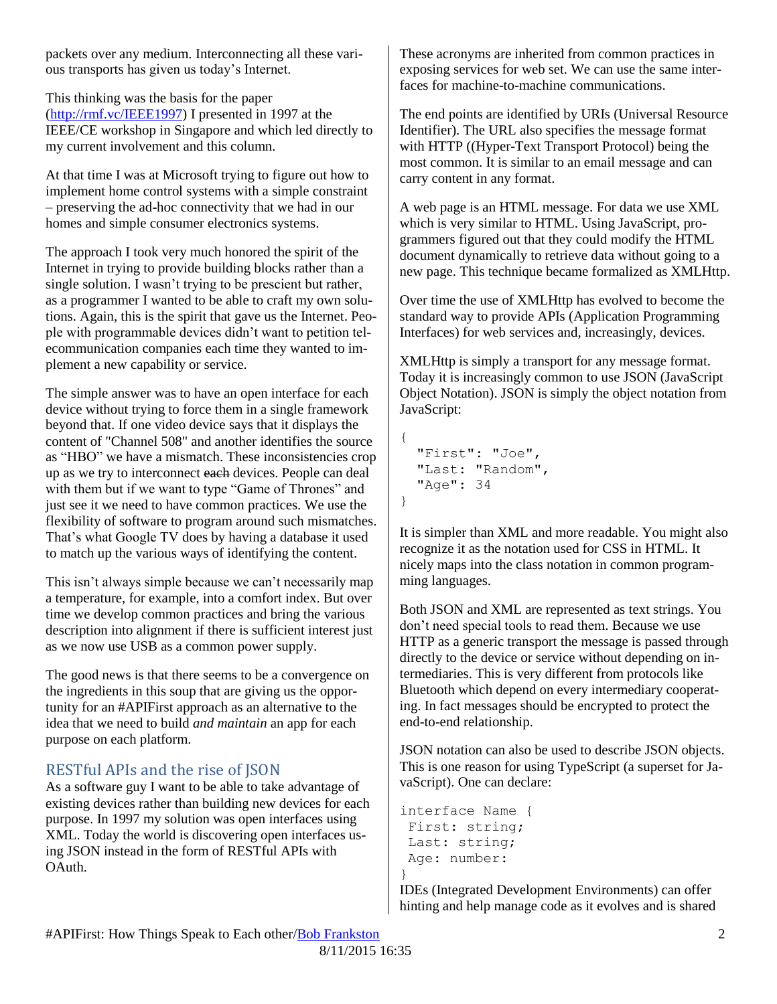packets over any medium. Interconnecting all these various transports has given us today's Internet.

This thinking was the basis for the paper [\(http://rmf.vc/IEEE1997\)](http://rmf.vc/IEEE1997) I presented in 1997 at the IEEE/CE workshop in Singapore and which led directly to my current involvement and this column.

At that time I was at Microsoft trying to figure out how to implement home control systems with a simple constraint – preserving the ad-hoc connectivity that we had in our homes and simple consumer electronics systems.

The approach I took very much honored the spirit of the Internet in trying to provide building blocks rather than a single solution. I wasn't trying to be prescient but rather, as a programmer I wanted to be able to craft my own solutions. Again, this is the spirit that gave us the Internet. People with programmable devices didn't want to petition telecommunication companies each time they wanted to implement a new capability or service.

The simple answer was to have an open interface for each device without trying to force them in a single framework beyond that. If one video device says that it displays the content of "Channel 508" and another identifies the source as "HBO" we have a mismatch. These inconsistencies crop up as we try to interconnect each devices. People can deal with them but if we want to type "Game of Thrones" and just see it we need to have common practices. We use the flexibility of software to program around such mismatches. That's what Google TV does by having a database it used to match up the various ways of identifying the content.

This isn't always simple because we can't necessarily map a temperature, for example, into a comfort index. But over time we develop common practices and bring the various description into alignment if there is sufficient interest just as we now use USB as a common power supply.

The good news is that there seems to be a convergence on the ingredients in this soup that are giving us the opportunity for an #APIFirst approach as an alternative to the idea that we need to build *and maintain* an app for each purpose on each platform.

# RESTful APIs and the rise of JSON

As a software guy I want to be able to take advantage of existing devices rather than building new devices for each purpose. In 1997 my solution was open interfaces using XML. Today the world is discovering open interfaces using JSON instead in the form of RESTful APIs with OAuth.

These acronyms are inherited from common practices in exposing services for web set. We can use the same interfaces for machine-to-machine communications.

The end points are identified by URIs (Universal Resource Identifier). The URL also specifies the message format with HTTP ((Hyper-Text Transport Protocol) being the most common. It is similar to an email message and can carry content in any format.

A web page is an HTML message. For data we use XML which is very similar to HTML. Using JavaScript, programmers figured out that they could modify the HTML document dynamically to retrieve data without going to a new page. This technique became formalized as XMLHttp.

Over time the use of XMLHttp has evolved to become the standard way to provide APIs (Application Programming Interfaces) for web services and, increasingly, devices.

XMLHttp is simply a transport for any message format. Today it is increasingly common to use JSON (JavaScript Object Notation). JSON is simply the object notation from JavaScript:

```
{
   "First": "Joe",
   "Last: "Random",
   "Age": 34
}
```
It is simpler than XML and more readable. You might also recognize it as the notation used for CSS in HTML. It nicely maps into the class notation in common programming languages.

Both JSON and XML are represented as text strings. You don't need special tools to read them. Because we use HTTP as a generic transport the message is passed through directly to the device or service without depending on intermediaries. This is very different from protocols like Bluetooth which depend on every intermediary cooperating. In fact messages should be encrypted to protect the end-to-end relationship.

JSON notation can also be used to describe JSON objects. This is one reason for using TypeScript (a superset for JavaScript). One can declare:

```
interface Name {
First: string;
Last: string;
Age: number:
}
```
IDEs (Integrated Development Environments) can offer hinting and help manage code as it evolves and is shared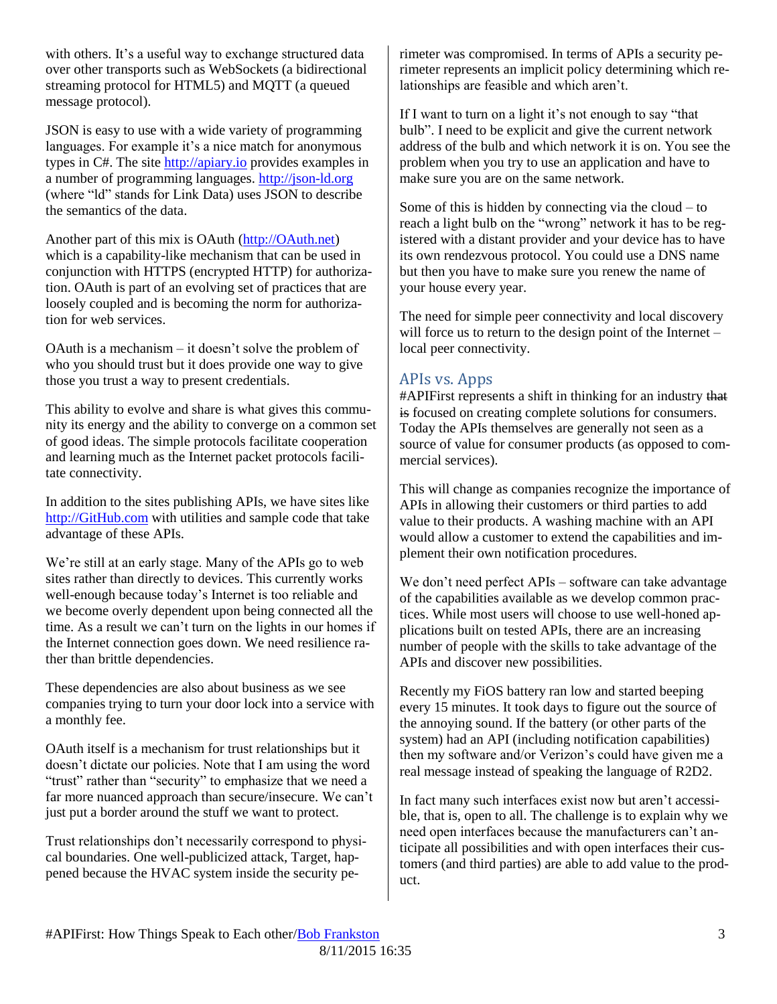with others. It's a useful way to exchange structured data over other transports such as WebSockets (a bidirectional streaming protocol for HTML5) and MQTT (a queued message protocol).

JSON is easy to use with a wide variety of programming languages. For example it's a nice match for anonymous types in C#. The site [http://apiary.io](http://apiary.io/) provides examples in a number of programming languages. [http://json-ld.org](http://json-ld.org/) (where "ld" stands for Link Data) uses JSON to describe the semantics of the data.

Another part of this mix is OAuth [\(http://OAuth.net\)](http://oauth.net/) which is a capability-like mechanism that can be used in conjunction with HTTPS (encrypted HTTP) for authorization. OAuth is part of an evolving set of practices that are loosely coupled and is becoming the norm for authorization for web services.

OAuth is a mechanism – it doesn't solve the problem of who you should trust but it does provide one way to give those you trust a way to present credentials.

This ability to evolve and share is what gives this community its energy and the ability to converge on a common set of good ideas. The simple protocols facilitate cooperation and learning much as the Internet packet protocols facilitate connectivity.

In addition to the sites publishing APIs, we have sites like [http://GitHub.com](http://github.com/) with utilities and sample code that take advantage of these APIs.

We're still at an early stage. Many of the APIs go to web sites rather than directly to devices. This currently works well-enough because today's Internet is too reliable and we become overly dependent upon being connected all the time. As a result we can't turn on the lights in our homes if the Internet connection goes down. We need resilience rather than brittle dependencies.

These dependencies are also about business as we see companies trying to turn your door lock into a service with a monthly fee.

OAuth itself is a mechanism for trust relationships but it doesn't dictate our policies. Note that I am using the word "trust" rather than "security" to emphasize that we need a far more nuanced approach than secure/insecure. We can't just put a border around the stuff we want to protect.

Trust relationships don't necessarily correspond to physical boundaries. One well-publicized attack, Target, happened because the HVAC system inside the security perimeter was compromised. In terms of APIs a security perimeter represents an implicit policy determining which relationships are feasible and which aren't.

If I want to turn on a light it's not enough to say "that bulb". I need to be explicit and give the current network address of the bulb and which network it is on. You see the problem when you try to use an application and have to make sure you are on the same network.

Some of this is hidden by connecting via the cloud  $-$  to reach a light bulb on the "wrong" network it has to be registered with a distant provider and your device has to have its own rendezvous protocol. You could use a DNS name but then you have to make sure you renew the name of your house every year.

The need for simple peer connectivity and local discovery will force us to return to the design point of the Internet – local peer connectivity.

## APIs vs. Apps

#APIFirst represents a shift in thinking for an industry that is focused on creating complete solutions for consumers. Today the APIs themselves are generally not seen as a source of value for consumer products (as opposed to commercial services).

This will change as companies recognize the importance of APIs in allowing their customers or third parties to add value to their products. A washing machine with an API would allow a customer to extend the capabilities and implement their own notification procedures.

We don't need perfect APIs – software can take advantage of the capabilities available as we develop common practices. While most users will choose to use well-honed applications built on tested APIs, there are an increasing number of people with the skills to take advantage of the APIs and discover new possibilities.

Recently my FiOS battery ran low and started beeping every 15 minutes. It took days to figure out the source of the annoying sound. If the battery (or other parts of the system) had an API (including notification capabilities) then my software and/or Verizon's could have given me a real message instead of speaking the language of R2D2.

In fact many such interfaces exist now but aren't accessible, that is, open to all. The challenge is to explain why we need open interfaces because the manufacturers can't anticipate all possibilities and with open interfaces their customers (and third parties) are able to add value to the product.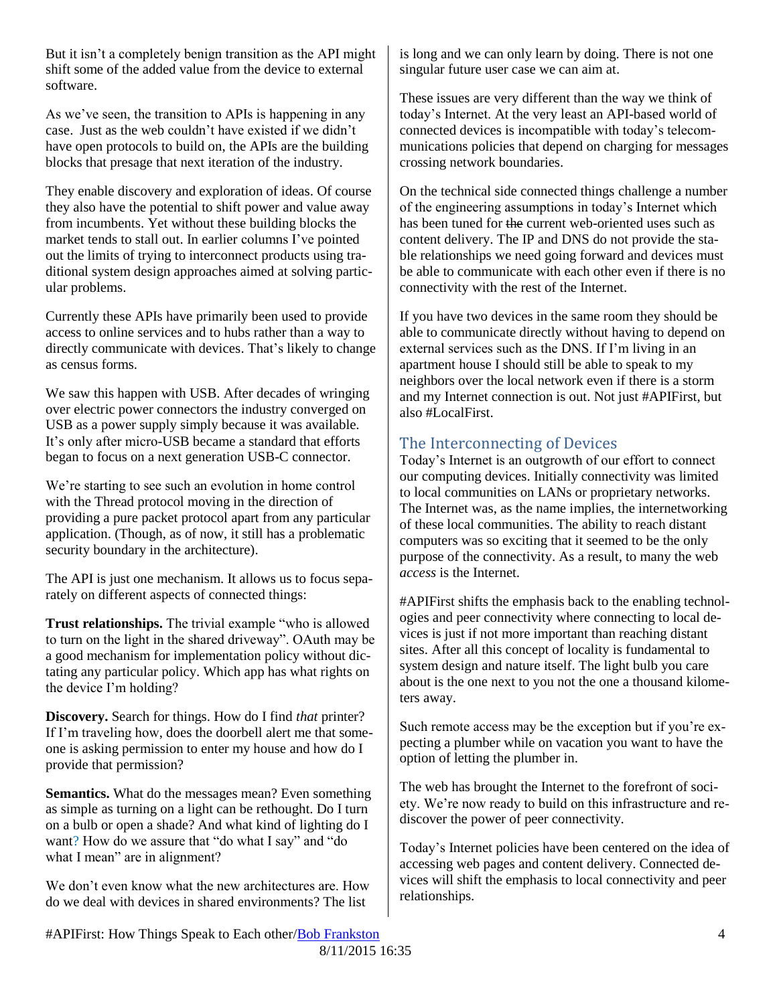But it isn't a completely benign transition as the API might shift some of the added value from the device to external software.

As we've seen, the transition to APIs is happening in any case. Just as the web couldn't have existed if we didn't have open protocols to build on, the APIs are the building blocks that presage that next iteration of the industry.

They enable discovery and exploration of ideas. Of course they also have the potential to shift power and value away from incumbents. Yet without these building blocks the market tends to stall out. In earlier columns I've pointed out the limits of trying to interconnect products using traditional system design approaches aimed at solving particular problems.

Currently these APIs have primarily been used to provide access to online services and to hubs rather than a way to directly communicate with devices. That's likely to change as census forms.

We saw this happen with USB. After decades of wringing over electric power connectors the industry converged on USB as a power supply simply because it was available. It's only after micro-USB became a standard that efforts began to focus on a next generation USB-C connector.

We're starting to see such an evolution in home control with the Thread protocol moving in the direction of providing a pure packet protocol apart from any particular application. (Though, as of now, it still has a problematic security boundary in the architecture).

The API is just one mechanism. It allows us to focus separately on different aspects of connected things:

**Trust relationships.** The trivial example "who is allowed to turn on the light in the shared driveway". OAuth may be a good mechanism for implementation policy without dictating any particular policy. Which app has what rights on the device I'm holding?

**Discovery.** Search for things. How do I find *that* printer? If I'm traveling how, does the doorbell alert me that someone is asking permission to enter my house and how do I provide that permission?

**Semantics.** What do the messages mean? Even something as simple as turning on a light can be rethought. Do I turn on a bulb or open a shade? And what kind of lighting do I want? How do we assure that "do what I say" and "do what I mean" are in alignment?

We don't even know what the new architectures are. How do we deal with devices in shared environments? The list

is long and we can only learn by doing. There is not one singular future user case we can aim at.

These issues are very different than the way we think of today's Internet. At the very least an API-based world of connected devices is incompatible with today's telecommunications policies that depend on charging for messages crossing network boundaries.

On the technical side connected things challenge a number of the engineering assumptions in today's Internet which has been tuned for the current web-oriented uses such as content delivery. The IP and DNS do not provide the stable relationships we need going forward and devices must be able to communicate with each other even if there is no connectivity with the rest of the Internet.

If you have two devices in the same room they should be able to communicate directly without having to depend on external services such as the DNS. If I'm living in an apartment house I should still be able to speak to my neighbors over the local network even if there is a storm and my Internet connection is out. Not just #APIFirst, but also #LocalFirst.

# The Interconnecting of Devices

Today's Internet is an outgrowth of our effort to connect our computing devices. Initially connectivity was limited to local communities on LANs or proprietary networks. The Internet was, as the name implies, the internetworking of these local communities. The ability to reach distant computers was so exciting that it seemed to be the only purpose of the connectivity. As a result, to many the web *access* is the Internet.

#APIFirst shifts the emphasis back to the enabling technologies and peer connectivity where connecting to local devices is just if not more important than reaching distant sites. After all this concept of locality is fundamental to system design and nature itself. The light bulb you care about is the one next to you not the one a thousand kilometers away.

Such remote access may be the exception but if you're expecting a plumber while on vacation you want to have the option of letting the plumber in.

The web has brought the Internet to the forefront of society. We're now ready to build on this infrastructure and rediscover the power of peer connectivity.

Today's Internet policies have been centered on the idea of accessing web pages and content delivery. Connected devices will shift the emphasis to local connectivity and peer relationships.